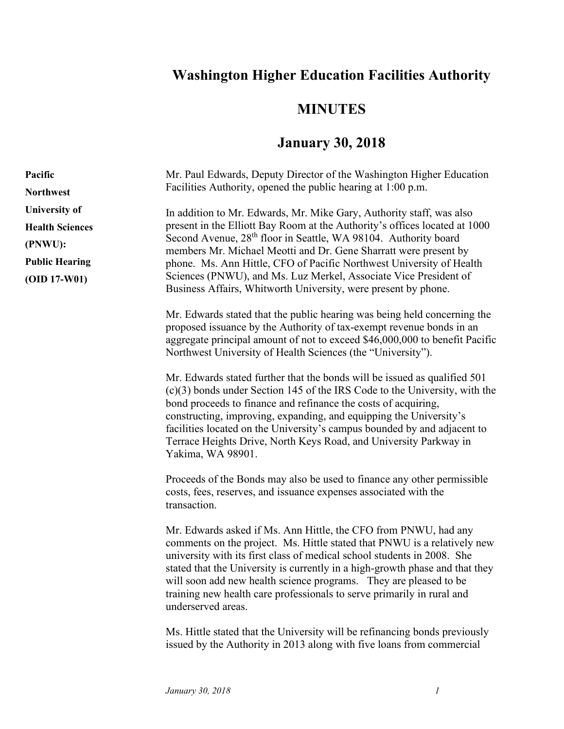## **Washington Higher Education Facilities Authority**

## **MINUTES**

## **January 30, 2018**

| Pacific                | Mr. Paul Edwards, Deputy Director of the Washington Higher Education                                                                                                                                                                                                                                                                                                                                                                                                        |
|------------------------|-----------------------------------------------------------------------------------------------------------------------------------------------------------------------------------------------------------------------------------------------------------------------------------------------------------------------------------------------------------------------------------------------------------------------------------------------------------------------------|
| <b>Northwest</b>       | Facilities Authority, opened the public hearing at 1:00 p.m.                                                                                                                                                                                                                                                                                                                                                                                                                |
| <b>University of</b>   | In addition to Mr. Edwards, Mr. Mike Gary, Authority staff, was also                                                                                                                                                                                                                                                                                                                                                                                                        |
| <b>Health Sciences</b> | present in the Elliott Bay Room at the Authority's offices located at 1000                                                                                                                                                                                                                                                                                                                                                                                                  |
| (PNWU):                | Second Avenue, 28 <sup>th</sup> floor in Seattle, WA 98104. Authority board<br>members Mr. Michael Meotti and Dr. Gene Sharratt were present by                                                                                                                                                                                                                                                                                                                             |
| <b>Public Hearing</b>  | phone. Ms. Ann Hittle, CFO of Pacific Northwest University of Health                                                                                                                                                                                                                                                                                                                                                                                                        |
| $(OID 17-W01)$         | Sciences (PNWU), and Ms. Luz Merkel, Associate Vice President of<br>Business Affairs, Whitworth University, were present by phone.                                                                                                                                                                                                                                                                                                                                          |
|                        | Mr. Edwards stated that the public hearing was being held concerning the<br>proposed issuance by the Authority of tax-exempt revenue bonds in an<br>aggregate principal amount of not to exceed \$46,000,000 to benefit Pacific<br>Northwest University of Health Sciences (the "University").                                                                                                                                                                              |
|                        | Mr. Edwards stated further that the bonds will be issued as qualified 501<br>$(c)(3)$ bonds under Section 145 of the IRS Code to the University, with the<br>bond proceeds to finance and refinance the costs of acquiring,<br>constructing, improving, expanding, and equipping the University's<br>facilities located on the University's campus bounded by and adjacent to<br>Terrace Heights Drive, North Keys Road, and University Parkway in<br>Yakima, WA 98901.     |
|                        | Proceeds of the Bonds may also be used to finance any other permissible<br>costs, fees, reserves, and issuance expenses associated with the<br>transaction.                                                                                                                                                                                                                                                                                                                 |
|                        | Mr. Edwards asked if Ms. Ann Hittle, the CFO from PNWU, had any<br>comments on the project. Ms. Hittle stated that PNWU is a relatively new<br>university with its first class of medical school students in 2008. She<br>stated that the University is currently in a high-growth phase and that they<br>will soon add new health science programs. They are pleased to be<br>training new health care professionals to serve primarily in rural and<br>underserved areas. |
|                        |                                                                                                                                                                                                                                                                                                                                                                                                                                                                             |

Ms. Hittle stated that the University will be refinancing bonds previously issued by the Authority in 2013 along with five loans from commercial